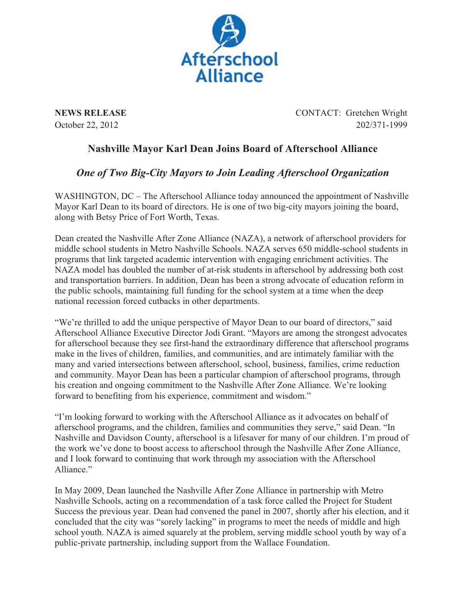

**NEWS RELEASE** CONTACT: Gretchen Wright October 22, 2012 202/371-1999

## **Nashville Mayor Karl Dean Joins Board of Afterschool Alliance**

## *One of Two Big-City Mayors to Join Leading Afterschool Organization*

WASHINGTON, DC – The Afterschool Alliance today announced the appointment of Nashville Mayor Karl Dean to its board of directors. He is one of two big-city mayors joining the board, along with Betsy Price of Fort Worth, Texas.

Dean created the Nashville After Zone Alliance (NAZA), a network of afterschool providers for middle school students in Metro Nashville Schools. NAZA serves 650 middle-school students in programs that link targeted academic intervention with engaging enrichment activities. The NAZA model has doubled the number of at-risk students in afterschool by addressing both cost and transportation barriers. In addition, Dean has been a strong advocate of education reform in the public schools, maintaining full funding for the school system at a time when the deep national recession forced cutbacks in other departments.

"We're thrilled to add the unique perspective of Mayor Dean to our board of directors," said Afterschool Alliance Executive Director Jodi Grant. "Mayors are among the strongest advocates for afterschool because they see first-hand the extraordinary difference that afterschool programs make in the lives of children, families, and communities, and are intimately familiar with the many and varied intersections between afterschool, school, business, families, crime reduction and community. Mayor Dean has been a particular champion of afterschool programs, through his creation and ongoing commitment to the Nashville After Zone Alliance. We're looking forward to benefiting from his experience, commitment and wisdom."

"I'm looking forward to working with the Afterschool Alliance as it advocates on behalf of afterschool programs, and the children, families and communities they serve," said Dean. "In Nashville and Davidson County, afterschool is a lifesaver for many of our children. I'm proud of the work we've done to boost access to afterschool through the Nashville After Zone Alliance, and I look forward to continuing that work through my association with the Afterschool Alliance."

In May 2009, Dean launched the Nashville After Zone Alliance in partnership with Metro Nashville Schools, acting on a recommendation of a task force called the Project for Student Success the previous year. Dean had convened the panel in 2007, shortly after his election, and it concluded that the city was "sorely lacking" in programs to meet the needs of middle and high school youth. NAZA is aimed squarely at the problem, serving middle school youth by way of a public-private partnership, including support from the Wallace Foundation.